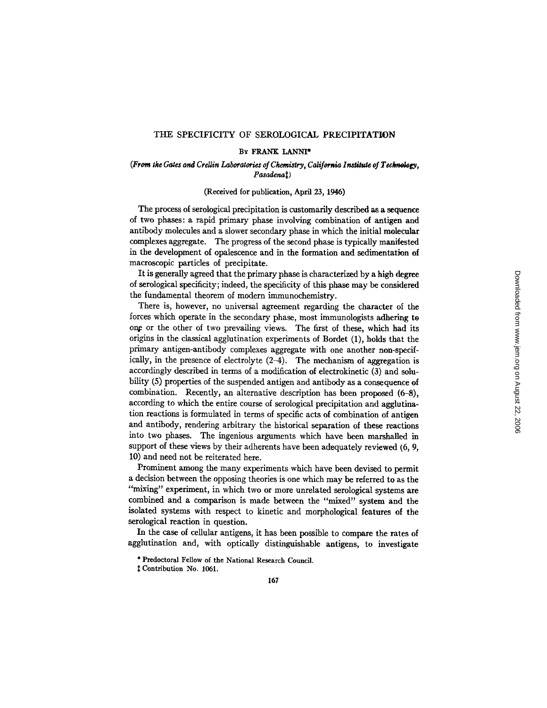### THE SPECIFICITY OF SEROLOGICAL PRECIPITATION

### BY FRANK LANNI\*

### *(From the Gates and CreUin Laboratories of Chemistry, California In~ute of Technology,*   $Pasadenat)$

# (Received for publication, April 23, 1946)

The process of serological precipitation is customarily described as a sequence of two phases: a rapid primary phase involving combination of antigen and antibody molecules and a slower secondary phase in which the initial molecular complexes aggregate. The progress of the second phase is typically manifested in the development of opalescence and in the formation and sedimentation of macroscopic particles of precipitate.

It is generally agreed that the primary phase is characterized by a high degree of serological specificity; indeed, the specificity of this phase may be considered the fundamental theorem of modem immunochemistry.

There is, however, no universal agreement regarding the character of the forces which operate in the secondary phase, most immunologists adhering to one or the other of two prevailing views. The first of these, which had its origins in the classical agglutination experiments of Bordet (1), holds that the primary antigen-antibody complexes aggregate with one another non-specifically, in the presence of electrolyte (2-4). The mechanism of aggregation is accordingly described in terms of a modification of electrokinetic (3) and solubility (5) properties of the suspended antigen and antibody as a consequence of combination. Recently, an alternative description has been proposed (6-8), according to which the entire course of serological precipitation and agglutination reactions is formulated in terms of specific acts of combination of antigen and antibody, rendering arbitrary the historical separation of these reactions into two phases. The ingenious arguments which have been marshalled in support of these views by their adherents have been adequately reviewed (6, 9, 10) and need not be reiterated here.

Prominent among the many experiments which have been devised to permit a decision between the opposing theories is one which may be referred to as the *"mixing"* experiment, in which two or more unrelated serological systems are combined and a comparison is made between the "mixed" system and the isolated systems with respect to kinetic and morphological features of the serological reaction in question.

In the case of cellular antigens, it has been possible to compare the rates of agglutination and, with optically distinguishable antigens, to investigate

<sup>\*</sup> Predoctoral Fellow of the National Research Council.

Contribution No. 1061.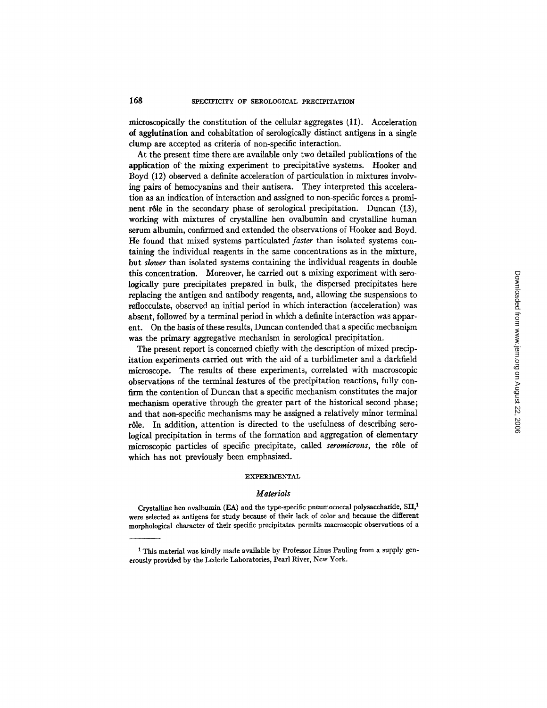microscopically the constitution of the cellular aggregates (11). Acceleration of agglutination and cohabitation of serologically distinct antigens in a single clump are accepted as criteria of non-specific interaction.

At the present time there are available only two detailed publications of the application of the mixing experiment to precipitative systems. Hooker and Boyd (12) observed a definite acceleration of particulation in mixtures involving pairs of hemocyanins and their antisera. They interpreted this acceleration as an indication of interaction and assigned to non-specific forces a prominent rôle in the secondary phase of serological precipitation. Duncan (13), working with mixtures of crystalline hen ovalbumin and crystalline human serum albumin, confirmed and extended the observations of Hooker and Boyd. He found that mixed systems particulated *faster* than isolated systems containing the individual reagents in the same concentrations as in the mixture, but *slower* than isolated systems containing the individual reagents in double this concentration. Moreover, he carried out a mixing experiment with serologically pure precipitates prepared in bulk, the dispersed precipitates here replacing the antigen and antibody reagents, and, allowing the suspensions to reflocculate, observed an initial period in which interaction (acceleration) was absent, followed by a terminal period in which a definite interaction was apparent. On the basis of these results, Duncan contended that a specific mechanism was the primary aggregative mechanism in serological precipitation.

The present report is concerned chiefly with the description of mixed precipitation experiments carried out with the aid of a turbidimeter and a darkfield microscope. The results of these experiments, correlated with macroscopic observations of the terminal features of the precipitation reactions, fully confirm the contention of Duncan that a specific mechanism constitutes the major mechanism operative through the greater part of the historical second phase; and that non-specific mechanisms may be assigned a relatively minor terminal r61e. In addition, attention is directed to the usefulness of describing serological precipitation in terms of the formation and aggregation of elementary microscopic particles of specific precipitate, called *seromicrons,* the r61e of which has not previously been emphasized.

#### EXPERIMENTAL

### *Materials*

Crystalline hen ovalbumin (EA) and the type-specific pneumococcal polysaccharide, SII,<sup>1</sup> were selected as antigens for study because of their lack of color and because the different morphological character of their specific precipitates permits macroscopic observations of a

<sup>&</sup>lt;sup>1</sup> This material was kindly made available by Professor Linus Pauling from a supply generously provided by the Lederle Laboratories, Pearl River, New York.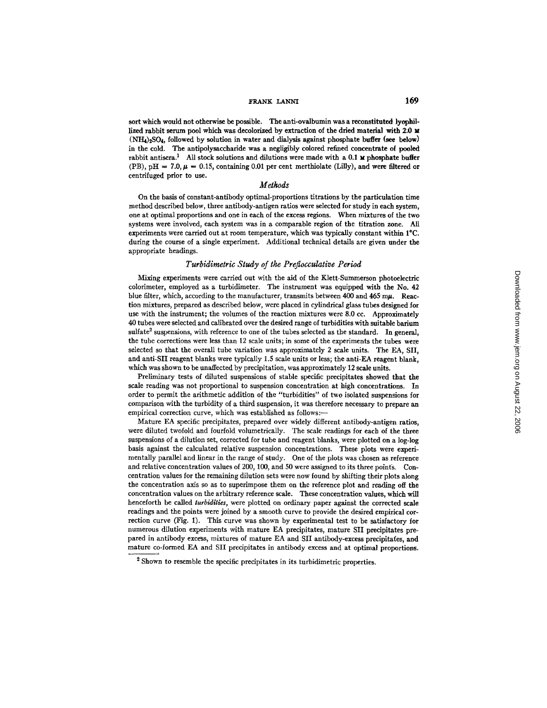## rrank lanni 169

sort which would not otherwise be possible. The anti-ovalbumin was a reconstituted lyophillized rabbit serum pool which was decolorized by extraction of the dried material with 2.0  $\boldsymbol{\mu}$  $(NH_4)_{2}SO_4$ , followed by solution in water and dialysis against phosphate buffer (see below) in the cold. The antipolysaccharide was a negligibly colored refined concentrate ot pooled rabbit antisera.<sup>1</sup> All stock solutions and dilutions were made with a 0.1 **M** phosphate buffer (PB),  $pH = 7.0, \mu = 0.15$ , containing 0.01 per cent merthiolate (Lilly), and were filtered or centrifuged prior to use.

#### *Methods*

On the basis of constant-antibody optimal-proportions titrations by the particulation time method described below, three antibody-antigen ratios were selected for study in each system, one at optimal proportions and one in each of the excess regions. When mixtures of the two systems were involved, each system was in a comparable region of the titration zone. All experiments were carried out at room temperature, which was typically constant within I°C. during the course of a single experiment. Additional technical details are given under the appropriate headings.

### *Turbidimetric Study of the Preflocculative Period*

Mixing experiments were carried out with the aid of the Klett-Summerson photoelectric colorimeter, employed as a turbidimeter. The instrument was equipped with the No. 42 blue filter, which, according to the manufacturer, transmits between  $400$  and  $465$  m $\mu$ . Reaction mixtures, prepared as described below, were placed in cylindrical glass tubes designed for use with the instrument; the volumes of the reaction mixtures were 8.0 cc. Approximately 40 tubes were selected and calibrated over the desired range of turbidities with suitable barium sulfate<sup>2</sup> suspensions, with reference to one of the tubes selected as the standard. In general, the tube corrections were less than 12 scale units; in some of the experiments the tubes were selected so that the overall tube variation was approximately 2 scale units. The EA, SII, and anti-SII reagent blanks were typically 1.5 scale units or less; the anti-EA reagent blank, which was shown to be unaffected by precipitation, was approximately 12 scale units.

Preliminary tests of diluted suspensions of stable specific precipitates showed that the scale reading was not proportional to suspension concentration at high concentrations. In order to permit the arithmetic addition of the "turbidities" of two isolated suspensions for comparison with the turbidity of a third suspension, it was therefore necessary to prepare an empirical correction curve, which was established as follows:-

Mature EA specific precipitates, prepared over widely different antibody-antigen ratios, were diluted twofold and fourfold volumetrically. The scale readings for each of the three suspensions of a dilution set, corrected for tube and reagent blanks, were plotted on a log-log basis against the calculated relative suspension concentrations. These plots were experimentally parallel and linear in the range of study. One of the plots was chosen as reference and relative concentration values of 200, 100, and 50 were assigned to its three points. Concentration values for the remaining dilution sets were now found by shifting their plots along the concentration axis so as to superimpose them on the reference plot and reading off the concentration values on the arbitrary reference scale. These concentration values, which will henceforth be called *turbidities*, were plotted on ordinary paper against the corrected scale readings and the points were joined by a smooth curve to provide the desired empirical correction curve (Fig. 1). This curve was shown by experimental test to be satisfactory for numerous dilution experiments with mature EA precipitates, mature SII precipitates prepared in antibody excess, mixtures of mature EA and SII antibody-excess precipitates, and mature co-formed EA and SII precipitates in antibody excess and at optimal proportions.

<sup>&</sup>lt;sup>2</sup> Shown to resemble the specific precipitates in its turbidimetric properties.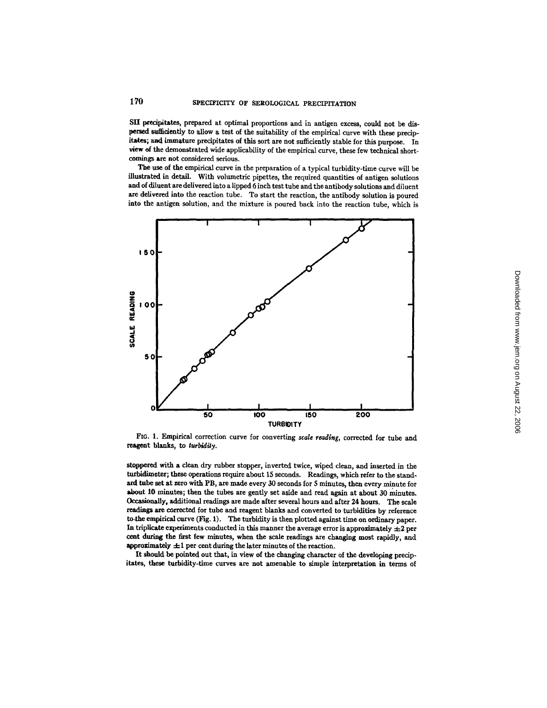SII precipitates, prepared at optimal proportions and in antigen excess, could not be dispersed sufficiently to allow a test of the suitability of the empirical curve with these precipitates; and immature precipitates of this sort are not sufficiently stable for this purpose. In view of the demonstrated wide applicability of the empirical curve, these few technical shortcomings are not considered serious.

The use of the empirical curve in the preparation of a typical turbidity-time curve will be illustrated in detail. With volumetric pipettes, the required quantities of antigen solutions and of diluent are delivered into a lipped 6 inch test tube and the antibody solutions and diluent are delivered into the reaction tube. To start the reaction, the antibody solution is poured into the antigen solution, and the mixture is poured back into the reaction tube, which is



FIG. 1. Empirical correction curve for converting *scale reading*, corrected for tube and reagent blanks, to *turbldily.* 

stoppered with a clean dry rubber stopper, inverted twice, wiped clean, and inserted in the turbidimeter; these operations require about 15 seconds. Readings, which refer to the standard tube set at zero with PB, are made every 30 seconds for 5 minutes, then every minute for about 10 minutes; then the tubes are gently set aside and read again at about 30 minutes. Occasionally, additional readings are made after several hours and after 24 hours. The scale readings are corrected for tube and reagent blanks and converted to turbiditics by reference to the empirical curve (Fig. 1). The turbidity is then plotted against time on ordinary paper. In triplicate experiments conducted in this manner the average error is approximately  $\pm 2$  per cent during the first few minutes, when the scale readings are changing most rapidly, and approximately  $\pm 1$  per cent during the later minutes of the reaction.

It should be pointed out that, in view of the changing character of the developing precipitates, these turbidity-time curves are not amenable to simple interpretation in terms of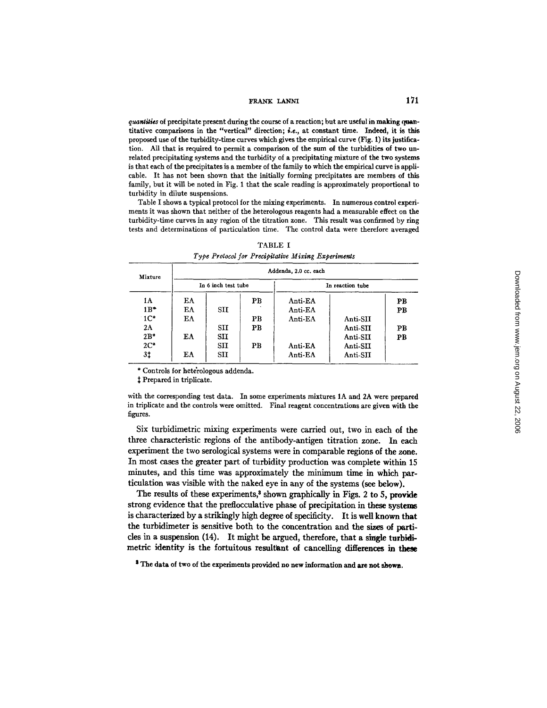quantities of precipitate present during the course of a reaction; but are useful in making quantitative comparisons in the "vertical" direction; *i.e.*, at constant time. Indeed, it is this proposed use of the turbidity-time curves which gives the empirical curve (Fig. I) its justification. All that is required to permit a comparison of the sum of the turbidities of two unrelated precipitating systems and the turbidity of a precipitating mixture of the two systems is that each of the precipitates is a member of the family to which the empirical curve is applicable. It has not been shown that the initially forming precipitates are members of this family, but it will be noted in Fig. 1 that the scale reading is approximately proportional **to**  turbidity in dilute suspensions.

Table I shows a typical protocol for the mixing experiments. In numerous control experiments it was shown that neither of the heterologous reagents had a measurable effect on the turbidity-time curves in any region of the titration zone. This result was confirmed by ring tests and determinations of particulation time. The control data were therefore averaged

| Mixture        | Addenda, 2.0 cc. each |              |             |                  |          |                |  |
|----------------|-----------------------|--------------|-------------|------------------|----------|----------------|--|
|                | In 6 inch test tube   |              |             | In reaction tube |          |                |  |
| 1A             | EA                    |              | <b>PB</b>   | Anti EA          |          | PB             |  |
| $1B^+$         | EA                    | SII          |             | Anti-EA          |          | P <sub>B</sub> |  |
| 1 <sup>2</sup> | ΕA                    |              | $_{\rm PB}$ | Anti-EA          | Anti-SII |                |  |
| 2A             |                       | SII          | PB          |                  | Anti-SII | PB             |  |
| $2B*$          | EA                    | SII          |             |                  | Anti-SII | PB             |  |
| $2C*$          |                       | $\mathbf{S}$ | PB          | Anti-EA          | Anti-SII |                |  |
| 3‡             | ЕA                    | SII          |             | Anti-EA          | Anti-SII |                |  |

TABLE I *Type Protocol for Precipitative Mixing Experiments* 

\* Controls for hete'rologous addenda.

 $‡$  Prepared in triplicate.

with the corresponding test data. In some experiments mixtures 1A and 2A were prepared in triplicate and the controls were omitted. Final reagent concentrations are given with the figures.

Six turbidimetric mixing experiments were carried out, two in each of the three characteristic regions of the antibody-antigen titration zone. In each experiment the two serological systems were in comparable regions of the zone. In most cases the greater part of turbidity production was complete within 15 minutes, and this time was approximately the minimum time in which particulation was visible with the naked eye in any of the systems (see below).

The results of these experiments,<sup>3</sup> shown graphically in Figs. 2 to 5, provide strong evidence that the preflocculative phase of precipitation in these systems is characterized by a strikingly high degree of specificity. It is well known that the turbidimeter is sensitive both to the concentration and the sizes of particles in a suspension (14). It might be argued, therefore, that a single turbidimetric identity is the fortuitous resultant of cancelling differences in these

**s The data of two of** the experiments provided **no new** information and **are not shown.**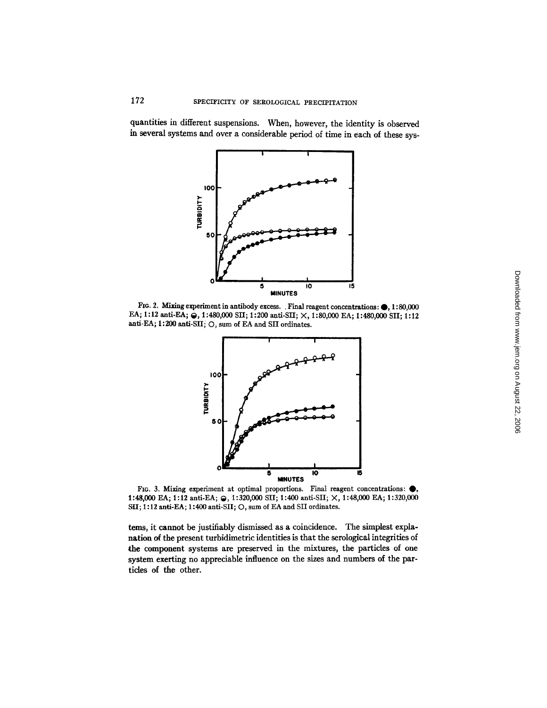quantities in different suspensions. When, however, the identity is observed in several systems and over a considerable period of time in each of these sys-



Fro. 2. Mixing experiment in antibody excess. . Final reagent concentrations:  $\bigcirc$ , 1:80,000 EA; 1:12 anti-EA; @, 1:480,000 SII; 1:200 anti-SII; X, 1:80,000 EA; 1:480,000 SII; 1:12 anti-EA; 1:200 anti-SII; O, sum of EA and SII ordinates.



FIo. 3. Mixing experiment at optimal proportions. Final reagent concentrations: Q, 1:48,000 EA; 1:12 anti-EA;  $\Theta$ , 1:320,000 SII; 1:400 anti-SII;  $\times$ , 1:48,000 EA; 1:320,000 SII; 1:12 anti-EA; 1:400 anti-SII; O, sum of EA and SII ordinates.

terns, it cannot be justifiably dismissed as a coincidence. The simplest explanation of the present turbidimetric identities is that the serological integrities of the component systems are preserved in the mixtures, the particles of one system exerting no appreciable influence on the sizes and numbers of the partides of the other.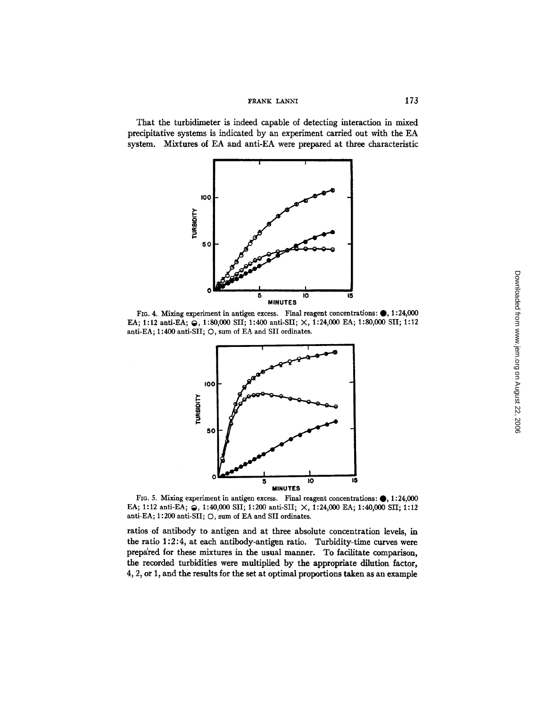That the turbidimeter is indeed capable of detecting interaction in mixed precipitative systems is indicated by an experiment carried out with the EA system. Mixtures of EA and anti-EA were prepared at three characteristic



FIG. 4. Mixing experiment in antigen excess. Final reagent concentrations:  $\bullet$ , 1:24,000 EA; 1:12 anti-EA; @, 1:80,000 SII; 1:400 anti-SII; X, 1:24,000 EA; 1:80,000 SII; 1:12 anti-EA; 1:400 anti-SII; O, sum of EA and SII ordinates.



FIG. 5. Mixing experiment in antigen excess. Final reagent concentrations:  $\bullet$ , 1:24,000 EA; 1:12 anti-EA;  $\bigodot$ , 1:40,000 SII; 1:200 anti-SII;  $\times$ , 1:24,000 EA; 1:40,000 SII; 1:12 anti-EA; 1:200 anti-SII; O, sum of EA and SII ordinates.

ratios of antibody to antigen and at three absolute concentration levels, in the ratio 1:2:4, at each antibody-antigen ratio. Turbidity-time curves were prepa'red for these mixtures in the usual manner. To facilitate comparison, the recorded turbidities were multiplied by the appropriate dilution factor, 4, 2, or 1, and the results for the set at optimal proportions taken as an example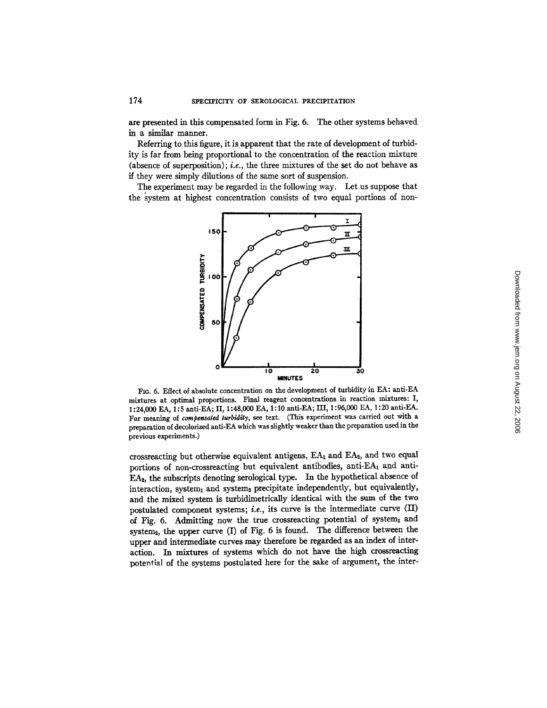are presented in this compensated form in Fig. 6. The other systems behaved in a similar manner.

Referring to this figure, it is apparent that the rate of development of turbidity is far from being proportional to the concentration of the reaction mixture (absence of superposition); *i.e.,* the three mixtures of the set do not behave as if they were simply dilutions of the same sort of suspension.

The experiment may be regarded in the following way. Let us suppose that the system at highest concentration consists of two equal portions of non-



Fro. 6. Effect of absolute concentration on the development of turbidity in EA: anti-EA mixtures at optimal proportions. Final reagent concentrations in reaction mixtures: I, 1 : 24,000 EA, 1: 5 anti-EA; II, 1: 48,000 EA, 1:10 anti-EA; III, 1: 96,000 EA, 1: 20 anti-EA. For meaning of *compensated turbidity, see* text. (This experiment was carried out with a preparation of decolorized anti-EA which was slightly weaker than the preparation used in the previous experiments.)

crossreacting but otherwise equivalent antigens,  $EA_1$  and  $EA_2$ , and two equal portions of non-crossreacting but equivalent antibodies, anti-EA1 and anti- $EA<sub>2</sub>$ , the subscripts denoting serological type. In the hypothetical absence of interaction, system<sub>1</sub> and system<sub>2</sub> precipitate independently, but equivalently, and the mixed system is turbidimetrically identical with the Sum of the two postulated component systems; *i.e.*, its curve is the intermediate curve  $(II)$ of Fig. 6. Admitting now the true crossreacting potential of system1 and system<sub>2</sub>, the upper curve  $(I)$  of Fig. 6 is found. The difference between the upper and intermediate curves may therefore be regarded as an index of interaction. In mixtures of systems which do not have the high crossreacting potential of the systems postulated here for the sake of argument, the inter-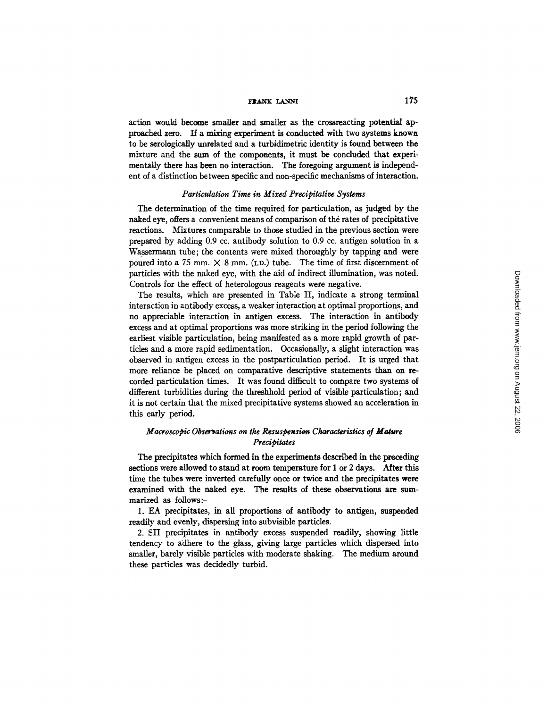action would become smaller and smaller as the crossreacting potential approached zero. If a mixing experiment is conducted with two systems known to be serologically unrelated and a turbidimetric identity is found between the mixture and the sum of the components, it must be concluded that experimentally there has been no interaction. The foregoing argument is independent of a distinction between specific and non-specific mechanisms of interaction.

### *Particulation Time in Mixed Precipitative Systems*

The determination of the time required for particulation, as judged by the naked eye, offers a convenient means of comparison of the rates of precipitative reactions. Mixtures comparable to those studied in the previous section were prepaxed by adding 0.9 cc. antibody solution to 0.9 cc. antigen solution in a Wassermann tube; the contents were mixed thoroughly by tapping and were poured into a 75 mm.  $\times$  8 mm. (I.D.) tube. The time of first discernment of particles with the naked eye, with the aid of indirect illumination, was noted. Controls for the effect of heterologous reagents were negative.

The results, which are presented in Table II, indicate a strong terminal interaction in antibody excess, a weaker interaction at optimal proportions, and no appreciable interaction in antigen excess. The interaction in antibody excess and at optimal proportions was more striking in the period following the earliest visible particulation, being manifested as a more rapid growth of particles and a more rapid sedimentation. Occasionally, a slight interaction was observed in antigen excess in the postparticulation period. It is urged that more reliance be placed on comparative descriptive statements than on recorded particulation times. It was found difficult to compare two systems of different turbidities during the threshhold period of visible particulation; and it is not certain that the mixed precipitative systems showed an acceleration in this early period.

# *Macroscopic Observations on the Resuspension Characteristics of Mature Precipitates*

The precipitates which formed in the experiments described in the preceding sections were allowed to stand at room temperature for 1 or 2 days. After this time the tubes were inverted carefully once or twice and the precipitates were examined with the naked eye. The results of these observations are summarized as follows:-

1. EA precipitates, in all proportions of antibody to antigen, suspended readily and evenly, dispersing into snbvisible particles.

2. SII precipitates in antibody excess suspended readily, showing little tendency to adhere to the glass, giving large particles which dispersed into smaller, barely visible particles with moderate shaking. The medium around these particles was decidedly turbid.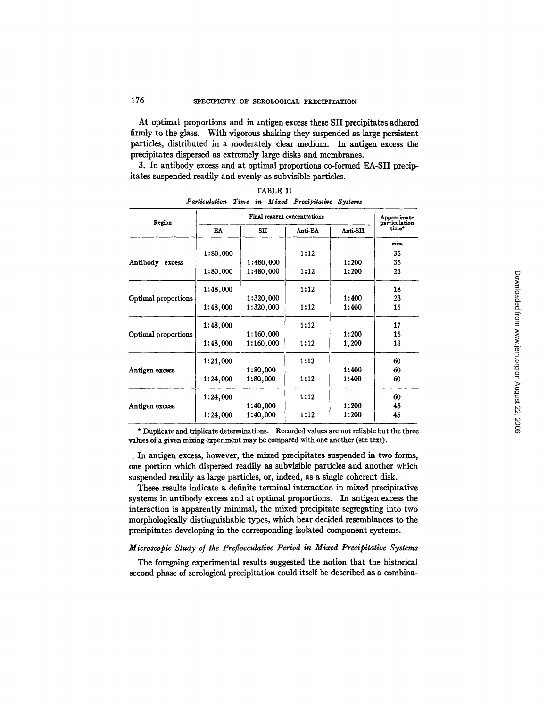At optimal proportions and in antigen excess these SII precipitates adhered firmly to the glass. With vigorous shaking they suspended as large persistent particles, distributed in a moderately clear medium. In antigen excess the precipitates dispersed as extremely large disks and membranes.

3. In antibody excess and at optimal proportions co-formed EA-SII precipitates suspended readily and evenly as subvisible particles.

| Region              |          | Approximate<br>particulation |         |          |       |
|---------------------|----------|------------------------------|---------|----------|-------|
|                     | EA       | SII                          | Anti-EA | Anti-SII | time* |
|                     |          |                              |         |          | min.  |
|                     | 1:80,000 |                              | 1:12    |          | 35    |
| Antibody<br>excess  |          | 1:480,000                    |         | 1:200    | 35    |
|                     | 1:80,000 | 1:480,000                    | 1:12    | 1:200    | 23    |
|                     | 1:48,000 |                              | 1:12    |          | 18    |
| Optimal proportions |          | 1:320,000                    |         | 1:400    | 23    |
|                     | 1:48,000 | 1:320,000                    | 1:12    | 1:400    | 15    |
|                     | 1:48,000 |                              | 1:12    |          | 17    |
| Optimal proportions |          | 1:160,000                    |         | 1:200    | 15    |
|                     | 1:48,000 | 1:160,000                    | 1:12    | 1,200    | 13    |
|                     | 1:24,000 |                              | 1:12    |          | 60    |
| Antigen excess      |          | 1:80,000                     |         | 1:400    | 60    |
|                     | 1:24,000 | 1:80,000                     | 1:12    | 1:400    | 60    |
|                     | 1:24,000 |                              | 1:12    |          | 60    |
| Antigen excess      |          | 1:40,000                     |         | 1:200    | 45    |
|                     | 1:24,000 | 1:40.000                     | 1:12    | 1:200    | 45    |

TABLE II *Particulation Time in Mixed Precibitative Systems* 

\* Duplicate and triplicate determinations. Recorded values are not reliable but the three values of a given mixing experiment may be compared with one another (see text).

In antigen excess, however, the mixed precipitates suspended in two forms, one portion which dispersed readily as subvisible particles and another which suspended readily as large particles, or, indeed, as a single coherent disk.

These results indicate a definite terminal interaction in mixed precipitative systems in antibody excess and at optimal proportions. In antigen excess the interaction is apparently minimal, the mixed precipitate segregating into two morphologically distinguishable types, which bear decided resemblances to the precipitates developing in the corresponding isolated component systems.

## *Microscopic Study of the Preflocculatire Period in Mixed Precipitative Systems*

The foregoing experimental results suggested the notion that the historical second phase of serological precipitation could itself be described as a combina-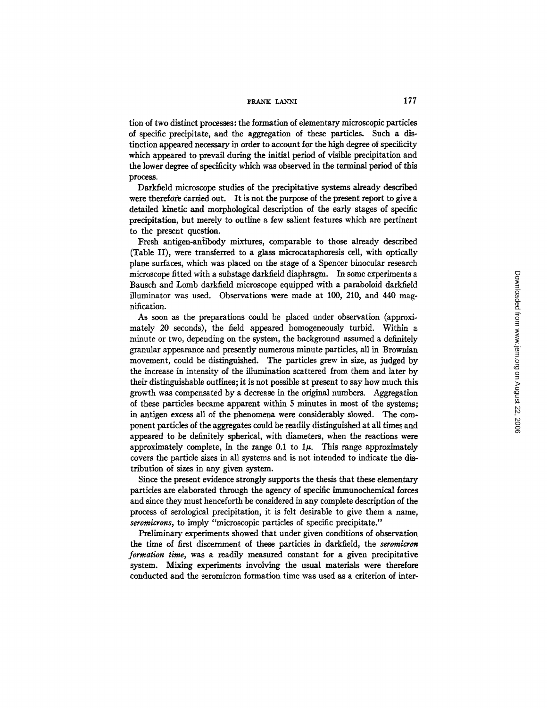tion of two distinct processes: the formation of elementary microscopic particles of specific precipitate, and the aggregation of these particles. Such a distinction appeared necessary in order to account for the high degree of specificity which appeared to prevail during the initial period of visible precipitation and the lower degree of specificity which was observed in the terminal period of this process.

Darkfield microscope studies of the precipitative systems already described were therefore carried out. It is not the purpose of the present report to give a detailed kinetic and morphological description of the early stages of specific precipitation, but merely to outline a few salient features which are pertinent to the present question.

Fresh antigen-antibody mixtures, comparable to those already described (Table II), were transferred to a glass microcataphoresis cell, with optically plane surfaces, which was placed on the stage of a Spencer binocular research microscope fitted with a substage darkfield diaphragm. In some experiments a Bausch and Lomb darkfield microscope equipped with a paraboloid darkfield illuminator was used. Observations were made at 100, 210, and 440 magnification.

As soon as the preparations could be placed under observation (approximately 20 seconds), the field appeared homogeneously turbid. Within a minute or two, depending on the system, the background assumed a definitely granular appearance and presently numerous minute particles, all in Brownian movement, could be distinguished. The particles grew in size, as judged by the increase in intensity of the illumination scattered from them and later by their distinguishable outlines; it is not possible at present to say how much this growth was compensated by a decrease in the original numbers. Aggregation of these particles became apparent within 5 minutes in most of the systems; in antigen excess all of the phenomena were considerably slowed. The component particles of the aggregates could be readily distinguished at all times and appeared to be definitely spherical, with diameters, when the reactions were approximately complete, in the range  $0.1$  to  $1\mu$ . This range approximately covers the particle sizes in all systems and is not intended to indicate the distribution of sizes in any given system.

Since the present evidence strongly supports the thesis that these elementary particles are elaborated through the agency of specific immunochemical forces and since they must henceforth be considered in any complete description of the process of serological precipitation, it is felt desirable to give them a name, *seromicrons, to imply "microscopic particles of specific precipitate."* 

Preliminary experiments showed that under given conditions of observation the time of first discernment of these particles in darkfield, the *seromlcron formation time,* was a readily measured constant for a given precipitative system. Mixing experiments involving the usual materials were therefore conducted and the seromicron formation time was used as a criterion of inter-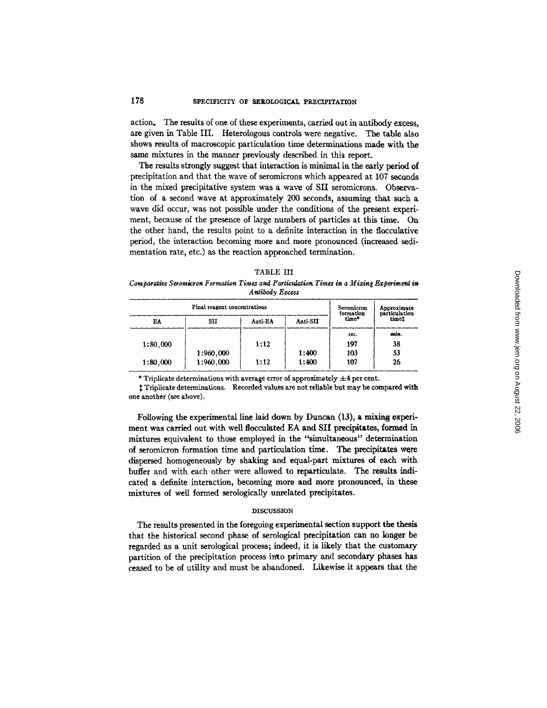# 178 SPECIFICITY OF SEROLOGICAL PRECIPITATION

action, The results of one of these experiments, carried out in antibody excess, are given in Table III. Heterologous controls were negative. The table also shows results of macroscopic particulation time determinations made with the same mixtures in the manner previously described in this report.

The results strongly suggest that interaction is minimal in the early period of precipitation and that the wave of seromicrons which appeared at 107 seconds in the mixed precipitative system was a wave of SII seromicrons. Observation of a second wave at approximately 200 seconds, assuming that such a wave did occur, was not possible under the conditions of the present experiment, because of the presence of large numbers of particles at this time. On the other hand, the results point to a definite interaction in the flocculative period, the interaction becoming more and more pronounced (increased sedimentation rate, etc.) as the reaction approached termination.

| TABLE III |  |
|-----------|--|
|-----------|--|

Comparative Seromicron Formation Times and Particulation Times in a Mixing Experiment in *Antibody Excess* 

|          | Seromicron<br>formation | Approximate<br>particulation |          |       |       |  |
|----------|-------------------------|------------------------------|----------|-------|-------|--|
| EA       | SII                     | Anti-EA                      | Anti-SII | time* | timet |  |
|          |                         |                              |          | sec.  | min.  |  |
| 1:80,000 |                         | 1:12                         |          | 197   | 38    |  |
|          | 1:960,000               |                              | 1:400    | 103   | 53    |  |
| 1:80,000 | 1:960,000               | 1:12                         | 1:400    | 107   | 26    |  |

\* Triplicate determinations with average error of approximately  $\pm 4$  per cent.

Triplicate determinations. Recorded values are not reliable but may be compared with one another (see above).

Following the experimental line laid down by Duncan (13), a mixing experi, ment was carried out with well flocculated EA and SII precipitates, formed in mixtures equivalent to those employed in the "simultaneous" determination of seromicron formation time and particulation time. The precipitates were dispersed homogeneously by shaking and equal-part mixtures of each with buffer and with each other were allowed to reparticulate. The results indicated a definite interaction, becoming more and more pronounced, in these mixtures of well formed serologically unrelated precipitates.

#### DISCUSSION

The results presented in the foregoing experimental section support the thesis that the historical second phase of serological precipitation can no longer be regarded as a unit serological process; indeed, it is likely that the customary partition of the precipitation process into primary and secondary phases has ceased to be of utility and must be abandoned. Likewise it appears that the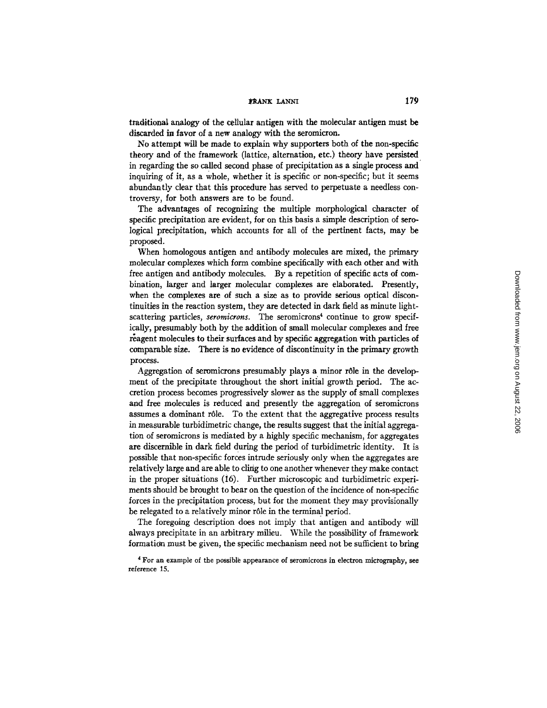traditional analogy of the cellular antigen with the molecular antigen must be discarded in favor of a new analogy with the seromicron.

No attempt will be made to explain why supporters both of the non-specific theory and of the framework (lattice, alternation, etc.) theory have persisted in regarding the so called second phase of precipitation as a single process and inquiring of it, as a whole, whether it is specific or non-specific; but it seems abundantly clear that this procedure has served to perpetuate a needless controversy, for both answers are to be found.

The advantages of recognizing the multiple morphological character of specific precipitation are evident, for on this basis a simple description of serological precipitation, which accounts for all of the pertinent facts, may be proposed.

When homologous antigen and antibody molecules are mixed, the primary molecular complexes which form combine specifically with each other and with free antigen and antibody molecules. By a repetition of specific acts of combination, larger and larger molecular complexes are elaborated. Presently, when the complexes are of such a size as to provide serious optical discontinuities in the reaction system, they are detected in dark field as minute lightscattering particles, *seromicrons*. The seromicrons<sup>4</sup> continue to grow specifically, presumably both by the addition of small molecular complexes and free reagent molecules to their surfaces and by specific aggregation with particles of comparable size. There is no evidence of discontinuity in the primary growth process.

Aggregation of seromicrons presumably plays a minor r61e in the development of the precipitate throughout the short initial growth period. The accretion process becomes progressively slower as the supply of small complexes and free molecules is reduced and presently the aggregation of seromicrons assumes a dominant rôle. To the extent that the aggregative process results in measurable turbidimetric change, the results suggest that the initial aggregation of seromicrons is mediated by a highly specific mechanism, for aggregates are discernible in dark field during the period of turbidimetric identity. It is possible that non-specific forces intrude seriously only when the aggregates are relatively large and are able to cling to one another whenever they make contact in the proper situations (16). Further microscopic and turbidimetric experiments should be brought to bear on the question of the incidence of non-specific forces in the precipitation process, but for the moment they may provisionally be relegated to a relatively minor r61e in the terminal period.

The foregoing description does not imply that antigen and antibody will always precipitate in an arbitrary milieu. While the possibility of framework formation must be given, the specific mechanism need not be sufficient to bring

<sup>4</sup> For an example of the possible appearance of seromicrons in electron micrography, see reference 15.